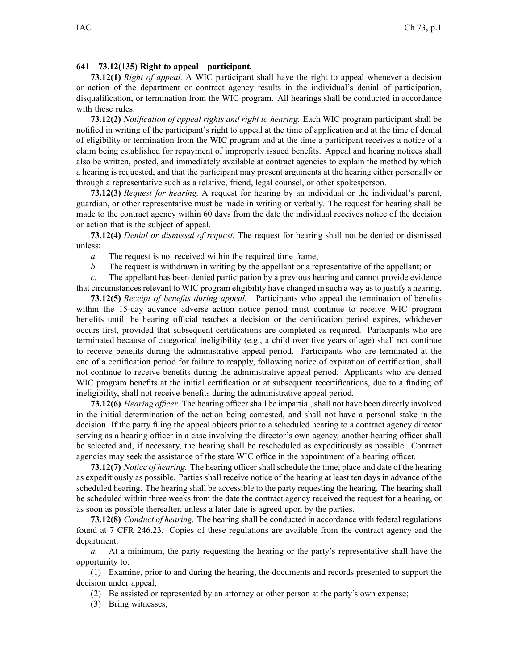## **641—73.12(135) Right to appeal—participant.**

**73.12(1)** *Right of appeal.* A WIC participant shall have the right to appeal whenever <sup>a</sup> decision or action of the department or contract agency results in the individual's denial of participation, disqualification, or termination from the WIC program. All hearings shall be conducted in accordance with these rules.

**73.12(2)** *Notification of appeal rights and right to hearing.* Each WIC program participant shall be notified in writing of the participant's right to appeal at the time of application and at the time of denial of eligibility or termination from the WIC program and at the time <sup>a</sup> participant receives <sup>a</sup> notice of <sup>a</sup> claim being established for repaymen<sup>t</sup> of improperly issued benefits. Appeal and hearing notices shall also be written, posted, and immediately available at contract agencies to explain the method by which <sup>a</sup> hearing is requested, and that the participant may presen<sup>t</sup> arguments at the hearing either personally or through <sup>a</sup> representative such as <sup>a</sup> relative, friend, legal counsel, or other spokesperson.

**73.12(3)** *Request for hearing.* A reques<sup>t</sup> for hearing by an individual or the individual's parent, guardian, or other representative must be made in writing or verbally. The reques<sup>t</sup> for hearing shall be made to the contract agency within 60 days from the date the individual receives notice of the decision or action that is the subject of appeal.

**73.12(4)** *Denial or dismissal of request.* The reques<sup>t</sup> for hearing shall not be denied or dismissed unless:

*a.* The reques<sup>t</sup> is not received within the required time frame;

*b.* The reques<sup>t</sup> is withdrawn in writing by the appellant or <sup>a</sup> representative of the appellant; or

*c.* The appellant has been denied participation by <sup>a</sup> previous hearing and cannot provide evidence that circumstancesrelevant to WIC program eligibility have changed in such <sup>a</sup> way asto justify <sup>a</sup> hearing.

**73.12(5)** *Receipt of benefits during appeal.* Participants who appeal the termination of benefits within the 15-day advance adverse action notice period must continue to receive WIC program benefits until the hearing official reaches <sup>a</sup> decision or the certification period expires, whichever occurs first, provided that subsequent certifications are completed as required. Participants who are terminated because of categorical ineligibility (e.g., <sup>a</sup> child over five years of age) shall not continue to receive benefits during the administrative appeal period. Participants who are terminated at the end of <sup>a</sup> certification period for failure to reapply, following notice of expiration of certification, shall not continue to receive benefits during the administrative appeal period. Applicants who are denied WIC program benefits at the initial certification or at subsequent recertifications, due to <sup>a</sup> finding of ineligibility, shall not receive benefits during the administrative appeal period.

**73.12(6)** *Hearing officer.* The hearing officershall be impartial, shall not have been directly involved in the initial determination of the action being contested, and shall not have <sup>a</sup> personal stake in the decision. If the party filing the appeal objects prior to <sup>a</sup> scheduled hearing to <sup>a</sup> contract agency director serving as <sup>a</sup> hearing officer in <sup>a</sup> case involving the director's own agency, another hearing officer shall be selected and, if necessary, the hearing shall be rescheduled as expeditiously as possible. Contract agencies may seek the assistance of the state WIC office in the appointment of <sup>a</sup> hearing officer.

**73.12(7)** *Notice of hearing.* The hearing officer shall schedule the time, place and date of the hearing as expeditiously as possible. Parties shall receive notice of the hearing at least ten days in advance of the scheduled hearing. The hearing shall be accessible to the party requesting the hearing. The hearing shall be scheduled within three weeks from the date the contract agency received the reques<sup>t</sup> for <sup>a</sup> hearing, or as soon as possible thereafter, unless <sup>a</sup> later date is agreed upon by the parties.

**73.12(8)** *Conduct of hearing.* The hearing shall be conducted in accordance with federal regulations found at 7 CFR 246.23. Copies of these regulations are available from the contract agency and the department.

*a.* At <sup>a</sup> minimum, the party requesting the hearing or the party's representative shall have the opportunity to:

(1) Examine, prior to and during the hearing, the documents and records presented to suppor<sup>t</sup> the decision under appeal;

(2) Be assisted or represented by an attorney or other person at the party's own expense;

(3) Bring witnesses;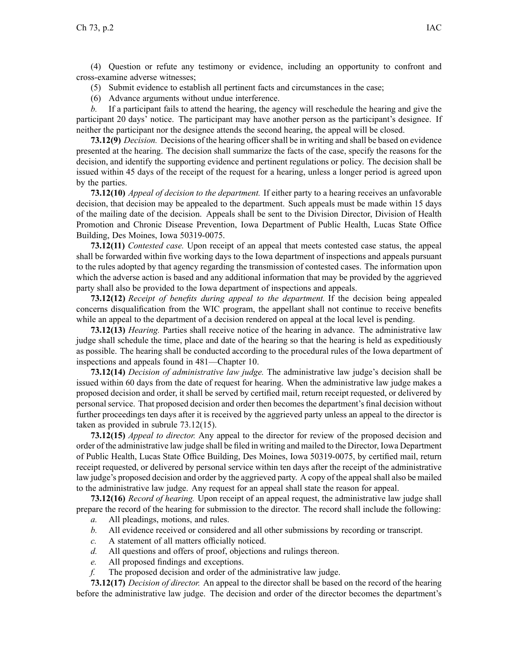(4) Question or refute any testimony or evidence, including an opportunity to confront and cross-examine adverse witnesses;

- (5) Submit evidence to establish all pertinent facts and circumstances in the case;
- (6) Advance arguments without undue interference.

*b.* If <sup>a</sup> participant fails to attend the hearing, the agency will reschedule the hearing and give the participant 20 days' notice. The participant may have another person as the participant's designee. If neither the participant nor the designee attends the second hearing, the appeal will be closed.

**73.12(9)** *Decision.* Decisions of the hearing officershall be in writing and shall be based on evidence presented at the hearing. The decision shall summarize the facts of the case, specify the reasons for the decision, and identify the supporting evidence and pertinent regulations or policy. The decision shall be issued within 45 days of the receipt of the reques<sup>t</sup> for <sup>a</sup> hearing, unless <sup>a</sup> longer period is agreed upon by the parties.

**73.12(10)** *Appeal of decision to the department.* If either party to <sup>a</sup> hearing receives an unfavorable decision, that decision may be appealed to the department. Such appeals must be made within 15 days of the mailing date of the decision. Appeals shall be sent to the Division Director, Division of Health Promotion and Chronic Disease Prevention, Iowa Department of Public Health, Lucas State Office Building, Des Moines, Iowa 50319-0075.

**73.12(11)** *Contested case.* Upon receipt of an appeal that meets contested case status, the appeal shall be forwarded within five working days to the Iowa department of inspections and appeals pursuan<sup>t</sup> to the rules adopted by that agency regarding the transmission of contested cases. The information upon which the adverse action is based and any additional information that may be provided by the aggrieved party shall also be provided to the Iowa department of inspections and appeals.

**73.12(12)** *Receipt of benefits during appeal to the department.* If the decision being appealed concerns disqualification from the WIC program, the appellant shall not continue to receive benefits while an appeal to the department of <sup>a</sup> decision rendered on appeal at the local level is pending.

**73.12(13)** *Hearing.* Parties shall receive notice of the hearing in advance. The administrative law judge shall schedule the time, place and date of the hearing so that the hearing is held as expeditiously as possible. The hearing shall be conducted according to the procedural rules of the Iowa department of inspections and appeals found in [481—Chapter](https://www.legis.iowa.gov/docs/iac/chapter/481.10.pdf) 10.

**73.12(14)** *Decision of administrative law judge.* The administrative law judge's decision shall be issued within 60 days from the date of reques<sup>t</sup> for hearing. When the administrative law judge makes <sup>a</sup> proposed decision and order, it shall be served by certified mail, return receipt requested, or delivered by personal service. That proposed decision and order then becomes the department's final decision without further proceedings ten days after it is received by the aggrieved party unless an appeal to the director is taken as provided in subrule [73.12\(15\)](https://www.legis.iowa.gov/docs/iac/rule/641.73.12.pdf).

**73.12(15)** *Appeal to director.* Any appeal to the director for review of the proposed decision and order of the administrative law judge shall be filed in writing and mailed to the Director, Iowa Department of Public Health, Lucas State Office Building, Des Moines, Iowa 50319-0075, by certified mail, return receipt requested, or delivered by personal service within ten days after the receipt of the administrative law judge's proposed decision and order by the aggrieved party. A copy of the appeal shall also be mailed to the administrative law judge. Any reques<sup>t</sup> for an appeal shall state the reason for appeal.

**73.12(16)** *Record of hearing.* Upon receipt of an appeal request, the administrative law judge shall prepare the record of the hearing for submission to the director. The record shall include the following:

- *a.* All pleadings, motions, and rules.
- *b.* All evidence received or considered and all other submissions by recording or transcript.
- *c.* A statement of all matters officially noticed.
- *d.* All questions and offers of proof, objections and rulings thereon.
- *e.* All proposed findings and exceptions.
- *f.* The proposed decision and order of the administrative law judge.

**73.12(17)** *Decision of director.* An appeal to the director shall be based on the record of the hearing before the administrative law judge. The decision and order of the director becomes the department's